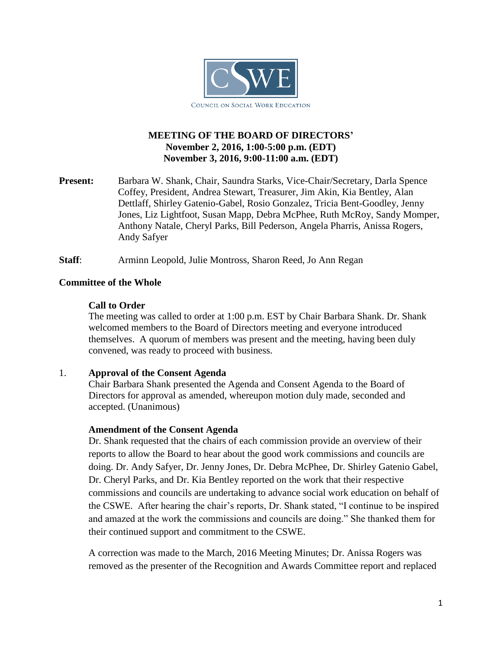

# **MEETING OF THE BOARD OF DIRECTORS' November 2, 2016, 1:00-5:00 p.m. (EDT) November 3, 2016, 9:00-11:00 a.m. (EDT)**

**Present:** Barbara W. Shank, Chair, Saundra Starks, Vice-Chair/Secretary, Darla Spence Coffey, President, Andrea Stewart, Treasurer, Jim Akin, Kia Bentley, Alan Dettlaff, Shirley Gatenio-Gabel, Rosio Gonzalez, Tricia Bent-Goodley, Jenny Jones, Liz Lightfoot, Susan Mapp, Debra McPhee, Ruth McRoy, Sandy Momper, Anthony Natale, Cheryl Parks, Bill Pederson, Angela Pharris, Anissa Rogers, Andy Safyer

**Staff**: Arminn Leopold, Julie Montross, Sharon Reed, Jo Ann Regan

### **Committee of the Whole**

### **Call to Order**

The meeting was called to order at 1:00 p.m. EST by Chair Barbara Shank. Dr. Shank welcomed members to the Board of Directors meeting and everyone introduced themselves. A quorum of members was present and the meeting, having been duly convened, was ready to proceed with business.

#### 1. **Approval of the Consent Agenda**

Chair Barbara Shank presented the Agenda and Consent Agenda to the Board of Directors for approval as amended, whereupon motion duly made, seconded and accepted. (Unanimous)

#### **Amendment of the Consent Agenda**

Dr. Shank requested that the chairs of each commission provide an overview of their reports to allow the Board to hear about the good work commissions and councils are doing. Dr. Andy Safyer, Dr. Jenny Jones, Dr. Debra McPhee, Dr. Shirley Gatenio Gabel, Dr. Cheryl Parks, and Dr. Kia Bentley reported on the work that their respective commissions and councils are undertaking to advance social work education on behalf of the CSWE. After hearing the chair's reports, Dr. Shank stated, "I continue to be inspired and amazed at the work the commissions and councils are doing." She thanked them for their continued support and commitment to the CSWE.

A correction was made to the March, 2016 Meeting Minutes; Dr. Anissa Rogers was removed as the presenter of the Recognition and Awards Committee report and replaced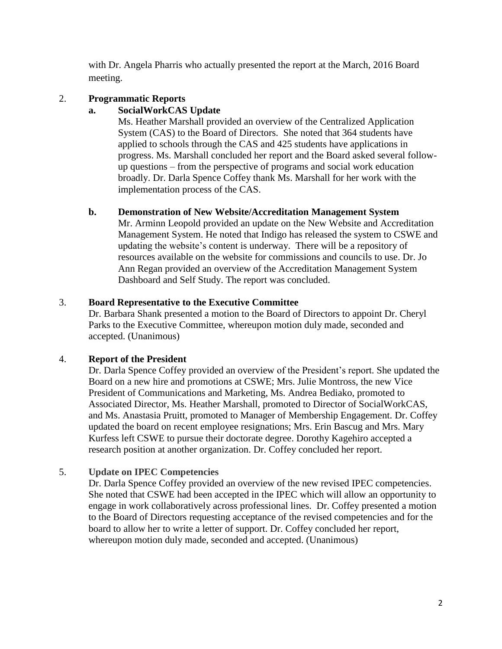with Dr. Angela Pharris who actually presented the report at the March, 2016 Board meeting.

# 2. **Programmatic Reports**

### **a. SocialWorkCAS Update**

Ms. Heather Marshall provided an overview of the Centralized Application System (CAS) to the Board of Directors. She noted that 364 students have applied to schools through the CAS and 425 students have applications in progress. Ms. Marshall concluded her report and the Board asked several followup questions – from the perspective of programs and social work education broadly. Dr. Darla Spence Coffey thank Ms. Marshall for her work with the implementation process of the CAS.

# **b. Demonstration of New Website/Accreditation Management System**

Mr. Arminn Leopold provided an update on the New Website and Accreditation Management System. He noted that Indigo has released the system to CSWE and updating the website's content is underway. There will be a repository of resources available on the website for commissions and councils to use. Dr. Jo Ann Regan provided an overview of the Accreditation Management System Dashboard and Self Study. The report was concluded.

# 3. **Board Representative to the Executive Committee**

Dr. Barbara Shank presented a motion to the Board of Directors to appoint Dr. Cheryl Parks to the Executive Committee, whereupon motion duly made, seconded and accepted. (Unanimous)

# 4. **Report of the President**

Dr. Darla Spence Coffey provided an overview of the President's report. She updated the Board on a new hire and promotions at CSWE; Mrs. Julie Montross, the new Vice President of Communications and Marketing, Ms. Andrea Bediako, promoted to Associated Director, Ms. Heather Marshall, promoted to Director of SocialWorkCAS, and Ms. Anastasia Pruitt, promoted to Manager of Membership Engagement. Dr. Coffey updated the board on recent employee resignations; Mrs. Erin Bascug and Mrs. Mary Kurfess left CSWE to pursue their doctorate degree. Dorothy Kagehiro accepted a research position at another organization. Dr. Coffey concluded her report.

# 5. **Update on IPEC Competencies**

Dr. Darla Spence Coffey provided an overview of the new revised IPEC competencies. She noted that CSWE had been accepted in the IPEC which will allow an opportunity to engage in work collaboratively across professional lines. Dr. Coffey presented a motion to the Board of Directors requesting acceptance of the revised competencies and for the board to allow her to write a letter of support. Dr. Coffey concluded her report, whereupon motion duly made, seconded and accepted. (Unanimous)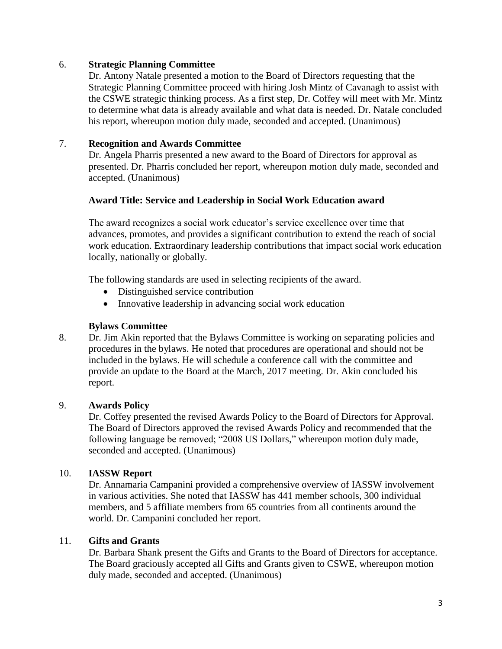### 6. **Strategic Planning Committee**

Dr. Antony Natale presented a motion to the Board of Directors requesting that the Strategic Planning Committee proceed with hiring Josh Mintz of Cavanagh to assist with the CSWE strategic thinking process. As a first step, Dr. Coffey will meet with Mr. Mintz to determine what data is already available and what data is needed. Dr. Natale concluded his report, whereupon motion duly made, seconded and accepted. (Unanimous)

# 7. **Recognition and Awards Committee**

Dr. Angela Pharris presented a new award to the Board of Directors for approval as presented. Dr. Pharris concluded her report, whereupon motion duly made, seconded and accepted. (Unanimous)

### **Award Title: Service and Leadership in Social Work Education award**

The award recognizes a social work educator's service excellence over time that advances, promotes, and provides a significant contribution to extend the reach of social work education. Extraordinary leadership contributions that impact social work education locally, nationally or globally.

The following standards are used in selecting recipients of the award.

- Distinguished service contribution
- Innovative leadership in advancing social work education

#### **Bylaws Committee**

8. Dr. Jim Akin reported that the Bylaws Committee is working on separating policies and procedures in the bylaws. He noted that procedures are operational and should not be included in the bylaws. He will schedule a conference call with the committee and provide an update to the Board at the March, 2017 meeting. Dr. Akin concluded his report.

#### 9. **Awards Policy**

Dr. Coffey presented the revised Awards Policy to the Board of Directors for Approval. The Board of Directors approved the revised Awards Policy and recommended that the following language be removed; "2008 US Dollars," whereupon motion duly made, seconded and accepted. (Unanimous)

# 10. **IASSW Report**

Dr. Annamaria Campanini provided a comprehensive overview of IASSW involvement in various activities. She noted that IASSW has 441 member schools, 300 individual members, and 5 affiliate members from 65 countries from all continents around the world. Dr. Campanini concluded her report.

### 11. **Gifts and Grants**

Dr. Barbara Shank present the Gifts and Grants to the Board of Directors for acceptance. The Board graciously accepted all Gifts and Grants given to CSWE, whereupon motion duly made, seconded and accepted. (Unanimous)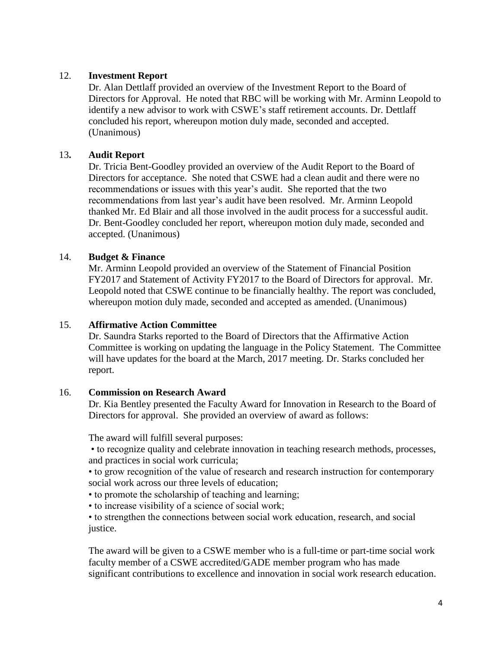### 12. **Investment Report**

Dr. Alan Dettlaff provided an overview of the Investment Report to the Board of Directors for Approval. He noted that RBC will be working with Mr. Arminn Leopold to identify a new advisor to work with CSWE's staff retirement accounts. Dr. Dettlaff concluded his report, whereupon motion duly made, seconded and accepted. (Unanimous)

### 13**. Audit Report**

Dr. Tricia Bent-Goodley provided an overview of the Audit Report to the Board of Directors for acceptance. She noted that CSWE had a clean audit and there were no recommendations or issues with this year's audit. She reported that the two recommendations from last year's audit have been resolved. Mr. Arminn Leopold thanked Mr. Ed Blair and all those involved in the audit process for a successful audit. Dr. Bent-Goodley concluded her report, whereupon motion duly made, seconded and accepted. (Unanimous)

### 14. **Budget & Finance**

Mr. Arminn Leopold provided an overview of the Statement of Financial Position FY2017 and Statement of Activity FY2017 to the Board of Directors for approval. Mr. Leopold noted that CSWE continue to be financially healthy. The report was concluded, whereupon motion duly made, seconded and accepted as amended. (Unanimous)

#### 15. **Affirmative Action Committee**

Dr. Saundra Starks reported to the Board of Directors that the Affirmative Action Committee is working on updating the language in the Policy Statement. The Committee will have updates for the board at the March, 2017 meeting. Dr. Starks concluded her report.

#### 16. **Commission on Research Award**

Dr. Kia Bentley presented the Faculty Award for Innovation in Research to the Board of Directors for approval. She provided an overview of award as follows:

The award will fulfill several purposes:

• to recognize quality and celebrate innovation in teaching research methods, processes, and practices in social work curricula;

• to grow recognition of the value of research and research instruction for contemporary social work across our three levels of education;

- to promote the scholarship of teaching and learning;
- to increase visibility of a science of social work;

• to strengthen the connections between social work education, research, and social justice.

The award will be given to a CSWE member who is a full-time or part-time social work faculty member of a CSWE accredited/GADE member program who has made significant contributions to excellence and innovation in social work research education.